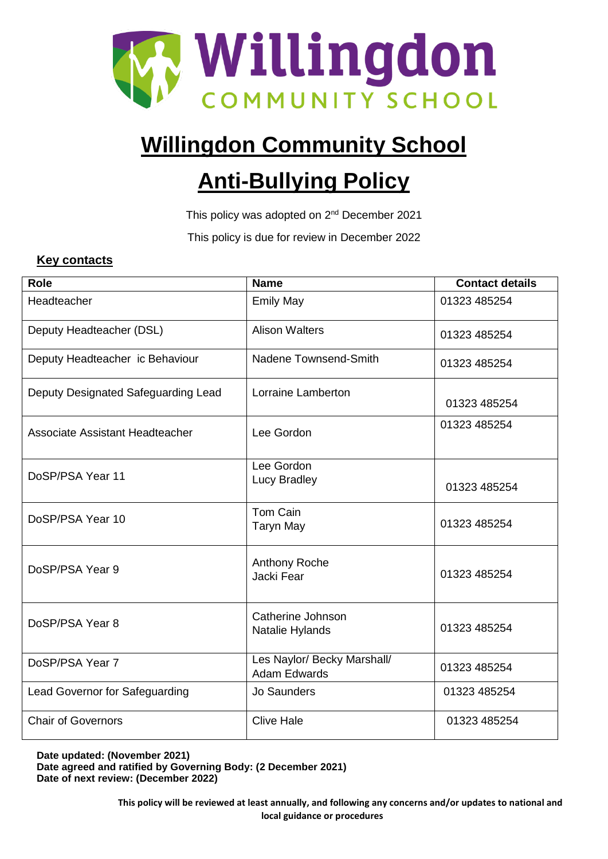

# **Willingdon Community School**

# **Anti-Bullying Policy**

This policy was adopted on 2<sup>nd</sup> December 2021

This policy is due for review in December 2022

## **Key contacts**

| <b>Role</b>                         | <b>Name</b>                                        | <b>Contact details</b> |
|-------------------------------------|----------------------------------------------------|------------------------|
| Headteacher                         | <b>Emily May</b>                                   | 01323 485254           |
| Deputy Headteacher (DSL)            | <b>Alison Walters</b>                              | 01323 485254           |
| Deputy Headteacher ic Behaviour     | Nadene Townsend-Smith                              | 01323 485254           |
| Deputy Designated Safeguarding Lead | Lorraine Lamberton                                 | 01323 485254           |
| Associate Assistant Headteacher     | Lee Gordon                                         | 01323 485254           |
| DoSP/PSA Year 11                    | Lee Gordon<br>Lucy Bradley                         | 01323 485254           |
| DoSP/PSA Year 10                    | Tom Cain<br><b>Taryn May</b>                       | 01323 485254           |
| DoSP/PSA Year 9                     | Anthony Roche<br>Jacki Fear                        | 01323 485254           |
| DoSP/PSA Year 8                     | Catherine Johnson<br>Natalie Hylands               | 01323 485254           |
| DoSP/PSA Year 7                     | Les Naylor/ Becky Marshall/<br><b>Adam Edwards</b> | 01323 485254           |
| Lead Governor for Safeguarding      | Jo Saunders                                        | 01323 485254           |
| <b>Chair of Governors</b>           | <b>Clive Hale</b>                                  | 01323 485254           |

**Date updated: (November 2021) Date agreed and ratified by Governing Body: (2 December 2021) Date of next review: (December 2022)**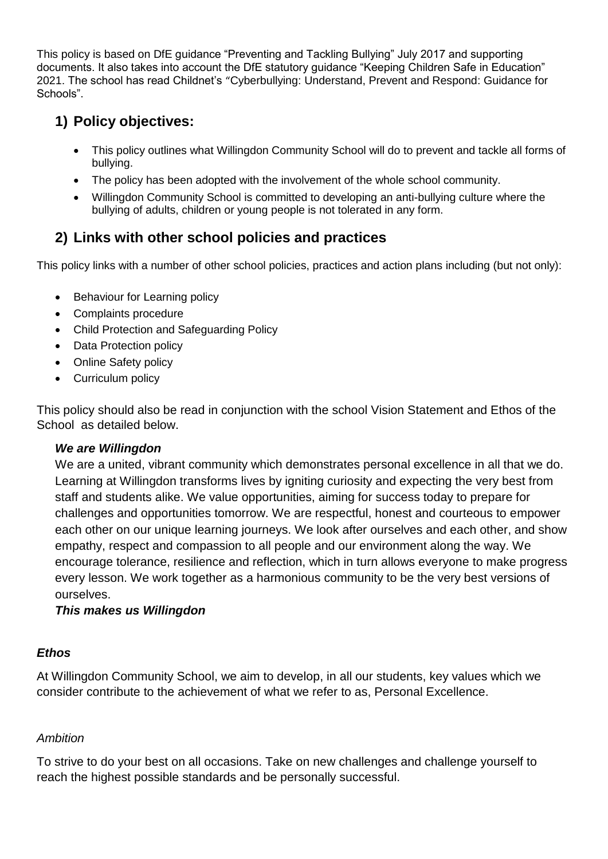This policy is based on DfE guidance "Preventing and Tackling Bullying" July 2017 and supporting documents. It also takes into account the DfE statutory guidance "Keeping Children Safe in Education" 2021. The school has read Childnet's "Cyberbullying: Understand, Prevent and Respond: Guidance for Schools".

## **1) Policy objectives:**

- This policy outlines what Willingdon Community School will do to prevent and tackle all forms of bullying.
- The policy has been adopted with the involvement of the whole school community.
- Willingdon Community School is committed to developing an anti-bullying culture where the bullying of adults, children or young people is not tolerated in any form.

# **2) Links with other school policies and practices**

This policy links with a number of other school policies, practices and action plans including (but not only):

- Behaviour for Learning policy
- Complaints procedure
- Child Protection and Safeguarding Policy
- Data Protection policy
- Online Safety policy
- Curriculum policy

This policy should also be read in conjunction with the school Vision Statement and Ethos of the School as detailed below.

## *We are Willingdon*

We are a united, vibrant community which demonstrates personal excellence in all that we do. Learning at Willingdon transforms lives by igniting curiosity and expecting the very best from staff and students alike. We value opportunities, aiming for success today to prepare for challenges and opportunities tomorrow. We are respectful, honest and courteous to empower each other on our unique learning journeys. We look after ourselves and each other, and show empathy, respect and compassion to all people and our environment along the way. We encourage tolerance, resilience and reflection, which in turn allows everyone to make progress every lesson. We work together as a harmonious community to be the very best versions of ourselves.

## *This makes us Willingdon*

## *Ethos*

At Willingdon Community School, we aim to develop, in all our students, key values which we consider contribute to the achievement of what we refer to as, Personal Excellence.

## *Ambition*

To strive to do your best on all occasions. Take on new challenges and challenge yourself to reach the highest possible standards and be personally successful.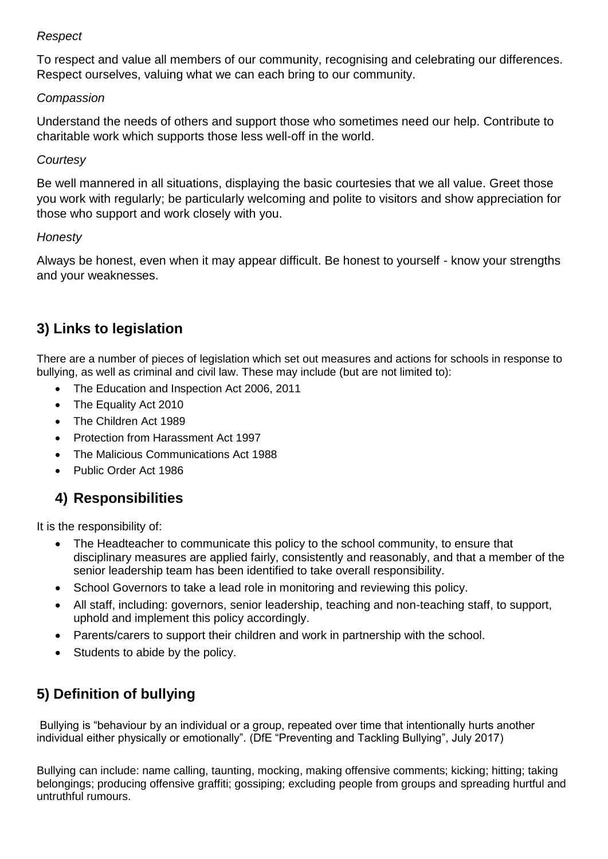## *Respect*

To respect and value all members of our community, recognising and celebrating our differences. Respect ourselves, valuing what we can each bring to our community.

## *Compassion*

Understand the needs of others and support those who sometimes need our help. Contribute to charitable work which supports those less well-off in the world.

## *Courtesy*

Be well mannered in all situations, displaying the basic courtesies that we all value. Greet those you work with regularly; be particularly welcoming and polite to visitors and show appreciation for those who support and work closely with you.

## *Honesty*

Always be honest, even when it may appear difficult. Be honest to yourself - know your strengths and your weaknesses.

# **3) Links to legislation**

There are a number of pieces of legislation which set out measures and actions for schools in response to bullying, as well as criminal and civil law. These may include (but are not limited to):

- The Education and Inspection Act 2006, 2011
- The Equality Act 2010
- The Children Act 1989
- Protection from Harassment Act 1997
- The Malicious Communications Act 1988
- Public Order Act 1986

## **4) Responsibilities**

It is the responsibility of:

- The Headteacher to communicate this policy to the school community, to ensure that disciplinary measures are applied fairly, consistently and reasonably, and that a member of the senior leadership team has been identified to take overall responsibility.
- School Governors to take a lead role in monitoring and reviewing this policy.
- All staff, including: governors, senior leadership, teaching and non-teaching staff, to support, uphold and implement this policy accordingly.
- Parents/carers to support their children and work in partnership with the school.
- Students to abide by the policy.

# **5) Definition of bullying**

Bullying is "behaviour by an individual or a group, repeated over time that intentionally hurts another individual either physically or emotionally". (DfE "Preventing and Tackling Bullying", July 2017)

Bullying can include: name calling, taunting, mocking, making offensive comments; kicking; hitting; taking belongings; producing offensive graffiti; gossiping; excluding people from groups and spreading hurtful and untruthful rumours.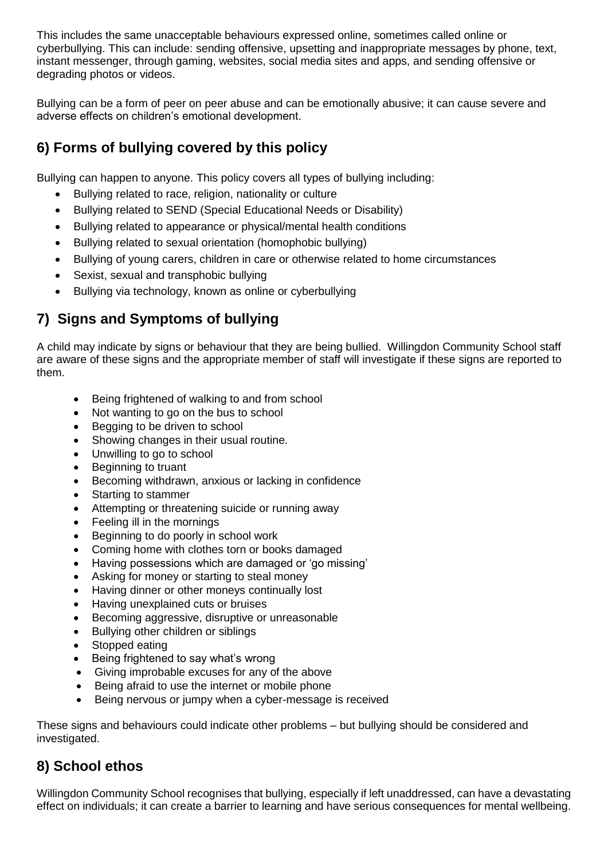This includes the same unacceptable behaviours expressed online, sometimes called online or cyberbullying. This can include: sending offensive, upsetting and inappropriate messages by phone, text, instant messenger, through gaming, websites, social media sites and apps, and sending offensive or degrading photos or videos.

Bullying can be a form of peer on peer abuse and can be emotionally abusive; it can cause severe and adverse effects on children's emotional development.

# **6) Forms of bullying covered by this policy**

Bullying can happen to anyone. This policy covers all types of bullying including:

- Bullying related to race, religion, nationality or culture
- Bullying related to SEND (Special Educational Needs or Disability)
- Bullying related to appearance or physical/mental health conditions
- Bullying related to sexual orientation (homophobic bullying)
- Bullying of young carers, children in care or otherwise related to home circumstances
- Sexist, sexual and transphobic bullying
- Bullying via technology, known as online or cyberbullying

## **7) Signs and Symptoms of bullying**

A child may indicate by signs or behaviour that they are being bullied. Willingdon Community School staff are aware of these signs and the appropriate member of staff will investigate if these signs are reported to them.

- Being frightened of walking to and from school
- Not wanting to go on the bus to school
- Begging to be driven to school
- Showing changes in their usual routine.
- Unwilling to go to school
- Beginning to truant
- Becoming withdrawn, anxious or lacking in confidence
- Starting to stammer
- Attempting or threatening suicide or running away
- Feeling ill in the mornings
- Beginning to do poorly in school work
- Coming home with clothes torn or books damaged
- Having possessions which are damaged or 'go missing'
- Asking for money or starting to steal money
- Having dinner or other moneys continually lost
- Having unexplained cuts or bruises
- Becoming aggressive, disruptive or unreasonable
- Bullying other children or siblings
- Stopped eating
- Being frightened to say what's wrong
- Giving improbable excuses for any of the above
- Being afraid to use the internet or mobile phone
- Being nervous or jumpy when a cyber-message is received

These signs and behaviours could indicate other problems – but bullying should be considered and investigated.

## **8) School ethos**

Willingdon Community School recognises that bullying, especially if left unaddressed, can have a devastating effect on individuals; it can create a barrier to learning and have serious consequences for mental wellbeing.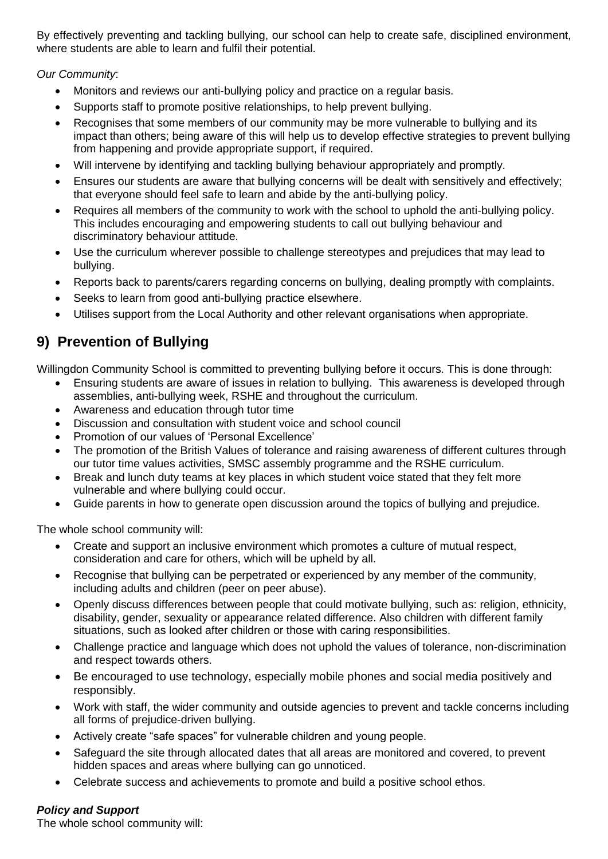By effectively preventing and tackling bullying, our school can help to create safe, disciplined environment, where students are able to learn and fulfil their potential.

*Our Community*:

- Monitors and reviews our anti-bullying policy and practice on a regular basis.
- Supports staff to promote positive relationships, to help prevent bullying.
- Recognises that some members of our community may be more vulnerable to bullying and its impact than others; being aware of this will help us to develop effective strategies to prevent bullying from happening and provide appropriate support, if required.
- Will intervene by identifying and tackling bullying behaviour appropriately and promptly.
- Ensures our students are aware that bullying concerns will be dealt with sensitively and effectively; that everyone should feel safe to learn and abide by the anti-bullying policy.
- Requires all members of the community to work with the school to uphold the anti-bullying policy. This includes encouraging and empowering students to call out bullying behaviour and discriminatory behaviour attitude.
- Use the curriculum wherever possible to challenge stereotypes and prejudices that may lead to bullying.
- Reports back to parents/carers regarding concerns on bullying, dealing promptly with complaints.
- Seeks to learn from good anti-bullying practice elsewhere.
- Utilises support from the Local Authority and other relevant organisations when appropriate.

## **9) Prevention of Bullying**

Willingdon Community School is committed to preventing bullying before it occurs. This is done through:

- Ensuring students are aware of issues in relation to bullying. This awareness is developed through assemblies, anti-bullying week, RSHE and throughout the curriculum.
- Awareness and education through tutor time
- Discussion and consultation with student voice and school council
- Promotion of our values of 'Personal Excellence'
- The promotion of the British Values of tolerance and raising awareness of different cultures through our tutor time values activities, SMSC assembly programme and the RSHE curriculum.
- Break and lunch duty teams at key places in which student voice stated that they felt more vulnerable and where bullying could occur.
- Guide parents in how to generate open discussion around the topics of bullying and prejudice.

The whole school community will:

- Create and support an inclusive environment which promotes a culture of mutual respect, consideration and care for others, which will be upheld by all.
- Recognise that bullying can be perpetrated or experienced by any member of the community, including adults and children (peer on peer abuse).
- Openly discuss differences between people that could motivate bullying, such as: religion, ethnicity, disability, gender, sexuality or appearance related difference. Also children with different family situations, such as looked after children or those with caring responsibilities.
- Challenge practice and language which does not uphold the values of tolerance, non-discrimination and respect towards others.
- Be encouraged to use technology, especially mobile phones and social media positively and responsibly.
- Work with staff, the wider community and outside agencies to prevent and tackle concerns including all forms of prejudice-driven bullying.
- Actively create "safe spaces" for vulnerable children and young people.
- Safeguard the site through allocated dates that all areas are monitored and covered, to prevent hidden spaces and areas where bullying can go unnoticed.
- Celebrate success and achievements to promote and build a positive school ethos.

#### *Policy and Support*

The whole school community will: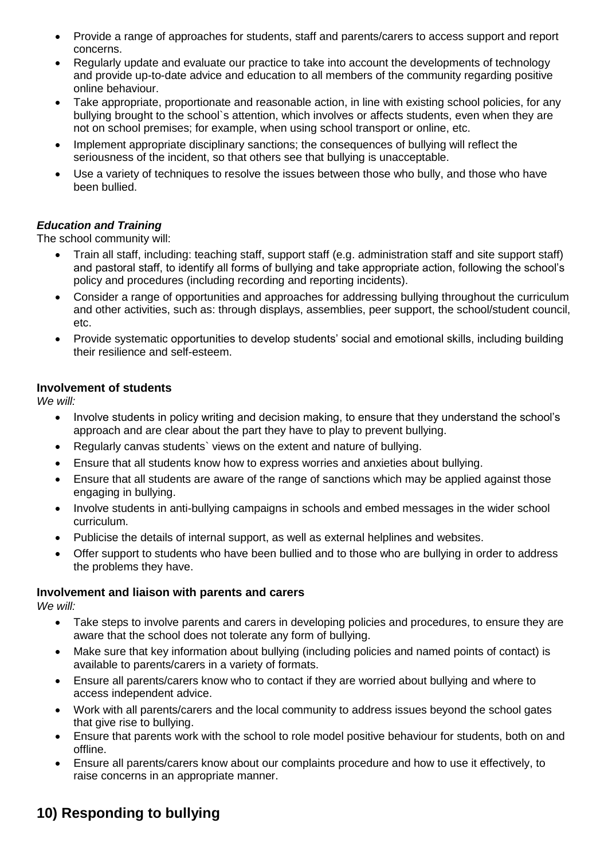- Provide a range of approaches for students, staff and parents/carers to access support and report concerns.
- Regularly update and evaluate our practice to take into account the developments of technology and provide up-to-date advice and education to all members of the community regarding positive online behaviour.
- Take appropriate, proportionate and reasonable action, in line with existing school policies, for any bullying brought to the school`s attention, which involves or affects students, even when they are not on school premises; for example, when using school transport or online, etc.
- Implement appropriate disciplinary sanctions; the consequences of bullying will reflect the seriousness of the incident, so that others see that bullying is unacceptable.
- Use a variety of techniques to resolve the issues between those who bully, and those who have been bullied.

### *Education and Training*

The school community will:

- Train all staff, including: teaching staff, support staff (e.g. administration staff and site support staff) and pastoral staff, to identify all forms of bullying and take appropriate action, following the school's policy and procedures (including recording and reporting incidents).
- Consider a range of opportunities and approaches for addressing bullying throughout the curriculum and other activities, such as: through displays, assemblies, peer support, the school/student council, etc.
- Provide systematic opportunities to develop students' social and emotional skills, including building their resilience and self-esteem.

#### **Involvement of students**

*We will:* 

- Involve students in policy writing and decision making, to ensure that they understand the school's approach and are clear about the part they have to play to prevent bullying.
- Regularly canvas students` views on the extent and nature of bullying.
- Ensure that all students know how to express worries and anxieties about bullying.
- Ensure that all students are aware of the range of sanctions which may be applied against those engaging in bullying.
- Involve students in anti-bullying campaigns in schools and embed messages in the wider school curriculum.
- Publicise the details of internal support, as well as external helplines and websites.
- Offer support to students who have been bullied and to those who are bullying in order to address the problems they have.

#### **Involvement and liaison with parents and carers**

*We will:* 

- Take steps to involve parents and carers in developing policies and procedures, to ensure they are aware that the school does not tolerate any form of bullying.
- Make sure that key information about bullying (including policies and named points of contact) is available to parents/carers in a variety of formats.
- Ensure all parents/carers know who to contact if they are worried about bullying and where to access independent advice.
- Work with all parents/carers and the local community to address issues beyond the school gates that give rise to bullying.
- Ensure that parents work with the school to role model positive behaviour for students, both on and offline.
- Ensure all parents/carers know about our complaints procedure and how to use it effectively, to raise concerns in an appropriate manner.

## **10) Responding to bullying**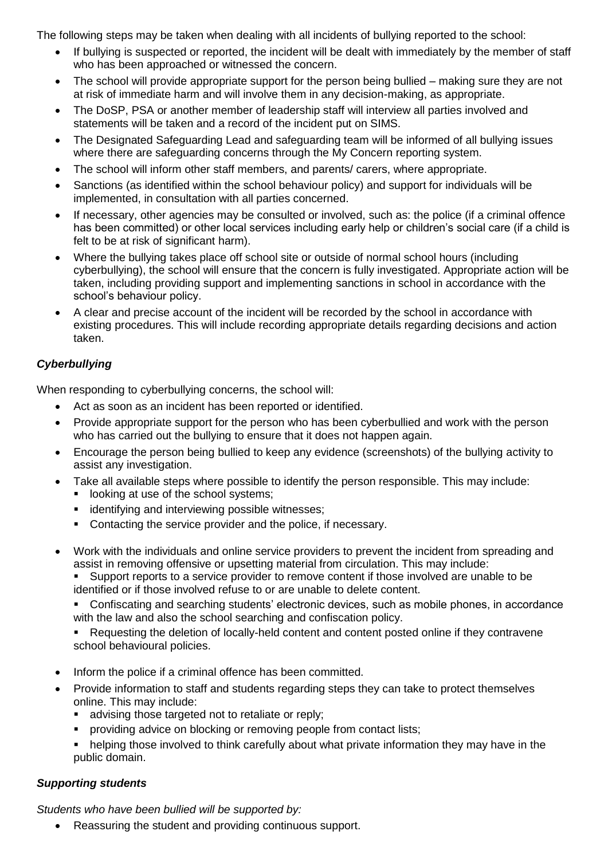The following steps may be taken when dealing with all incidents of bullying reported to the school:

- If bullying is suspected or reported, the incident will be dealt with immediately by the member of staff who has been approached or witnessed the concern.
- The school will provide appropriate support for the person being bullied making sure they are not at risk of immediate harm and will involve them in any decision-making, as appropriate.
- The DoSP, PSA or another member of leadership staff will interview all parties involved and statements will be taken and a record of the incident put on SIMS.
- The Designated Safeguarding Lead and safeguarding team will be informed of all bullying issues where there are safeguarding concerns through the My Concern reporting system.
- The school will inform other staff members, and parents/ carers, where appropriate.
- Sanctions (as identified within the school behaviour policy) and support for individuals will be implemented, in consultation with all parties concerned.
- If necessary, other agencies may be consulted or involved, such as: the police (if a criminal offence has been committed) or other local services including early help or children's social care (if a child is felt to be at risk of significant harm).
- Where the bullying takes place off school site or outside of normal school hours (including cyberbullying), the school will ensure that the concern is fully investigated. Appropriate action will be taken, including providing support and implementing sanctions in school in accordance with the school's behaviour policy.
- A clear and precise account of the incident will be recorded by the school in accordance with existing procedures. This will include recording appropriate details regarding decisions and action taken.

## *Cyberbullying*

When responding to cyberbullying concerns, the school will:

- Act as soon as an incident has been reported or identified.
- Provide appropriate support for the person who has been cyberbullied and work with the person who has carried out the bullying to ensure that it does not happen again.
- Encourage the person being bullied to keep any evidence (screenshots) of the bullying activity to assist any investigation.
- Take all available steps where possible to identify the person responsible. This may include:
	- **If** looking at use of the school systems;
	- **identifying and interviewing possible witnesses;**
	- Contacting the service provider and the police, if necessary.
- Work with the individuals and online service providers to prevent the incident from spreading and assist in removing offensive or upsetting material from circulation. This may include:

 Support reports to a service provider to remove content if those involved are unable to be identified or if those involved refuse to or are unable to delete content.

• Confiscating and searching students' electronic devices, such as mobile phones, in accordance with the law and also the school searching and confiscation policy.

• Requesting the deletion of locally-held content and content posted online if they contravene school behavioural policies.

- Inform the police if a criminal offence has been committed.
- Provide information to staff and students regarding steps they can take to protect themselves online. This may include:
	- advising those targeted not to retaliate or reply;
	- **•** providing advice on blocking or removing people from contact lists;
	- helping those involved to think carefully about what private information they may have in the public domain.

#### *Supporting students*

*Students who have been bullied will be supported by:* 

• Reassuring the student and providing continuous support.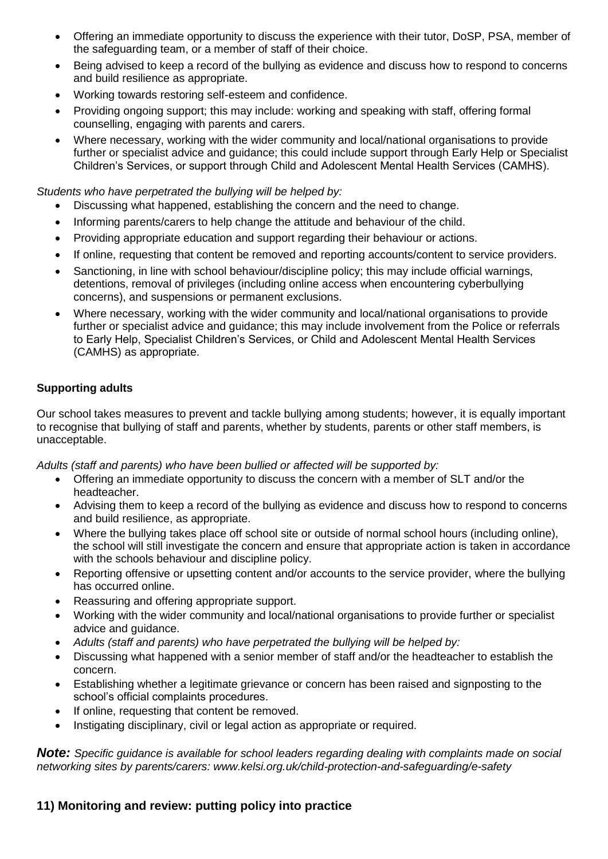- Offering an immediate opportunity to discuss the experience with their tutor, DoSP, PSA, member of the safeguarding team, or a member of staff of their choice.
- Being advised to keep a record of the bullying as evidence and discuss how to respond to concerns and build resilience as appropriate.
- Working towards restoring self-esteem and confidence.
- Providing ongoing support; this may include: working and speaking with staff, offering formal counselling, engaging with parents and carers.
- Where necessary, working with the wider community and local/national organisations to provide further or specialist advice and guidance; this could include support through Early Help or Specialist Children's Services, or support through Child and Adolescent Mental Health Services (CAMHS).

*Students who have perpetrated the bullying will be helped by:* 

- Discussing what happened, establishing the concern and the need to change.
- Informing parents/carers to help change the attitude and behaviour of the child.
- Providing appropriate education and support regarding their behaviour or actions.
- If online, requesting that content be removed and reporting accounts/content to service providers.
- Sanctioning, in line with school behaviour/discipline policy; this may include official warnings, detentions, removal of privileges (including online access when encountering cyberbullying concerns), and suspensions or permanent exclusions.
- Where necessary, working with the wider community and local/national organisations to provide further or specialist advice and guidance; this may include involvement from the Police or referrals to Early Help, Specialist Children's Services, or Child and Adolescent Mental Health Services (CAMHS) as appropriate.

#### **Supporting adults**

Our school takes measures to prevent and tackle bullying among students; however, it is equally important to recognise that bullying of staff and parents, whether by students, parents or other staff members, is unacceptable.

*Adults (staff and parents) who have been bullied or affected will be supported by:* 

- Offering an immediate opportunity to discuss the concern with a member of SLT and/or the headteacher.
- Advising them to keep a record of the bullying as evidence and discuss how to respond to concerns and build resilience, as appropriate.
- Where the bullying takes place off school site or outside of normal school hours (including online), the school will still investigate the concern and ensure that appropriate action is taken in accordance with the schools behaviour and discipline policy.
- Reporting offensive or upsetting content and/or accounts to the service provider, where the bullying has occurred online.
- Reassuring and offering appropriate support.
- Working with the wider community and local/national organisations to provide further or specialist advice and guidance.
- *Adults (staff and parents) who have perpetrated the bullying will be helped by:*
- Discussing what happened with a senior member of staff and/or the headteacher to establish the concern.
- Establishing whether a legitimate grievance or concern has been raised and signposting to the school's official complaints procedures.
- If online, requesting that content be removed.
- Instigating disciplinary, civil or legal action as appropriate or required.

*Note: Specific guidance is available for school leaders regarding dealing with complaints made on social networking sites by parents/carers: www.kelsi.org.uk/child-protection-and-safeguarding/e-safety* 

## **11) Monitoring and review: putting policy into practice**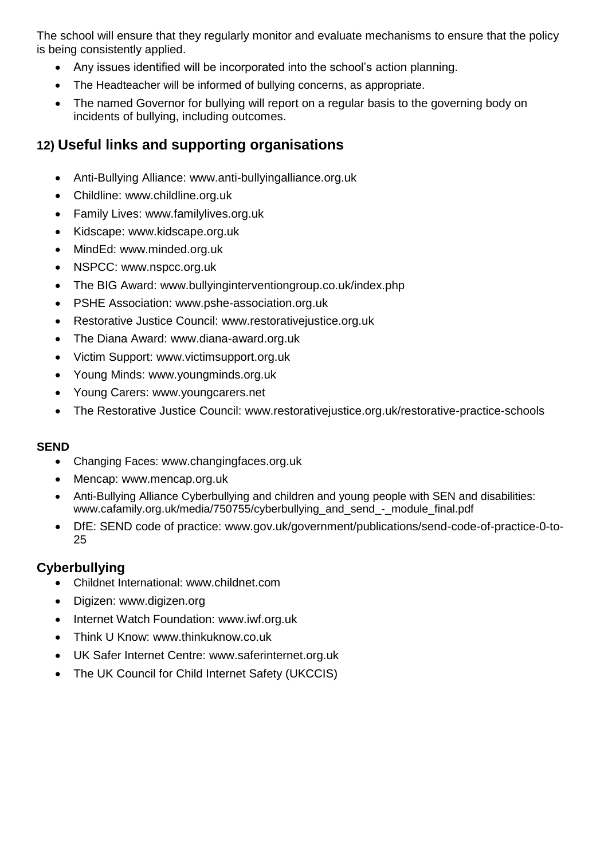The school will ensure that they regularly monitor and evaluate mechanisms to ensure that the policy is being consistently applied.

- Any issues identified will be incorporated into the school's action planning.
- The Headteacher will be informed of bullying concerns, as appropriate.
- The named Governor for bullying will report on a regular basis to the governing body on incidents of bullying, including outcomes.

## **12) Useful links and supporting organisations**

- Anti-Bullying Alliance: www.anti-bullyingalliance.org.uk
- Childline: www.childline.org.uk
- Family Lives: www.familylives.org.uk
- Kidscape: www.kidscape.org.uk
- MindEd: www.minded.org.uk
- NSPCC: www.nspcc.org.uk
- The BIG Award: www.bullyinginterventiongroup.co.uk/index.php
- PSHE Association: www.pshe-association.org.uk
- Restorative Justice Council: www.restorativejustice.org.uk
- The Diana Award: www.diana-award.org.uk
- Victim Support: www.victimsupport.org.uk
- Young Minds: www.youngminds.org.uk
- Young Carers: www.youngcarers.net
- The Restorative Justice Council: www.restorativejustice.org.uk/restorative-practice-schools

## **SEND**

- Changing Faces: www.changingfaces.org.uk
- Mencap: www.mencap.org.uk
- Anti-Bullying Alliance Cyberbullying and children and young people with SEN and disabilities: www.cafamily.org.uk/media/750755/cyberbullying\_and\_send\_-\_module\_final.pdf
- DfE: SEND code of practice: www.gov.uk/government/publications/send-code-of-practice-0-to-25

## **Cyberbullying**

- Childnet International: www.childnet.com
- Digizen: www.digizen.org
- Internet Watch Foundation: www.iwf.org.uk
- Think U Know: www.thinkuknow.co.uk
- UK Safer Internet Centre: www.saferinternet.org.uk
- The UK Council for Child Internet Safety (UKCCIS)